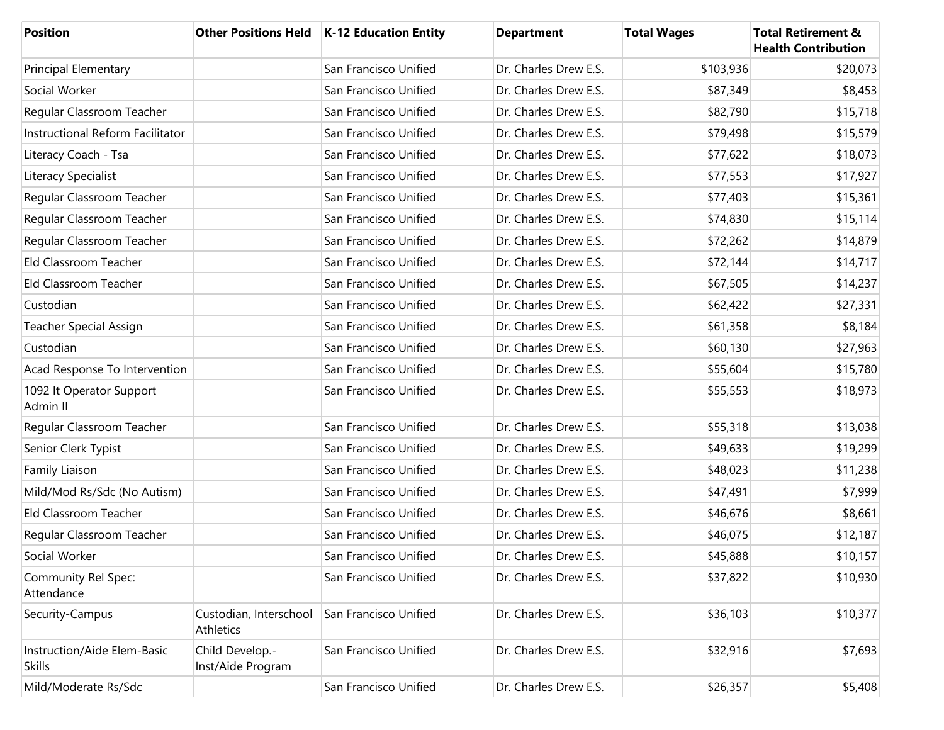| Position                                     |                                      | Other Positions Held   K-12 Education Entity | <b>Department</b>     | <b>Total Wages</b> | <b>Total Retirement &amp;</b><br><b>Health Contribution</b> |
|----------------------------------------------|--------------------------------------|----------------------------------------------|-----------------------|--------------------|-------------------------------------------------------------|
| <b>Principal Elementary</b>                  |                                      | San Francisco Unified                        | Dr. Charles Drew E.S. | \$103,936          | \$20,073                                                    |
| Social Worker                                |                                      | San Francisco Unified                        | Dr. Charles Drew E.S. | \$87,349           | \$8,453                                                     |
| Regular Classroom Teacher                    |                                      | San Francisco Unified                        | Dr. Charles Drew E.S. | \$82,790           | \$15,718                                                    |
| Instructional Reform Facilitator             |                                      | San Francisco Unified                        | Dr. Charles Drew E.S. | \$79,498           | \$15,579                                                    |
| Literacy Coach - Tsa                         |                                      | San Francisco Unified                        | Dr. Charles Drew E.S. | \$77,622           | \$18,073                                                    |
| Literacy Specialist                          |                                      | San Francisco Unified                        | Dr. Charles Drew E.S. | \$77,553           | \$17,927                                                    |
| Regular Classroom Teacher                    |                                      | San Francisco Unified                        | Dr. Charles Drew E.S. | \$77,403           | \$15,361                                                    |
| Regular Classroom Teacher                    |                                      | San Francisco Unified                        | Dr. Charles Drew E.S. | \$74,830           | \$15,114                                                    |
| Regular Classroom Teacher                    |                                      | San Francisco Unified                        | Dr. Charles Drew E.S. | \$72,262           | \$14,879                                                    |
| Eld Classroom Teacher                        |                                      | San Francisco Unified                        | Dr. Charles Drew E.S. | \$72,144           | \$14,717                                                    |
| Eld Classroom Teacher                        |                                      | San Francisco Unified                        | Dr. Charles Drew E.S. | \$67,505           | \$14,237                                                    |
| Custodian                                    |                                      | San Francisco Unified                        | Dr. Charles Drew E.S. | \$62,422           | \$27,331                                                    |
| Teacher Special Assign                       |                                      | San Francisco Unified                        | Dr. Charles Drew E.S. | \$61,358           | \$8,184                                                     |
| Custodian                                    |                                      | San Francisco Unified                        | Dr. Charles Drew E.S. | \$60,130           | \$27,963                                                    |
| Acad Response To Intervention                |                                      | San Francisco Unified                        | Dr. Charles Drew E.S. | \$55,604           | \$15,780                                                    |
| 1092 It Operator Support<br>Admin II         |                                      | San Francisco Unified                        | Dr. Charles Drew E.S. | \$55,553           | \$18,973                                                    |
| Regular Classroom Teacher                    |                                      | San Francisco Unified                        | Dr. Charles Drew E.S. | \$55,318           | \$13,038                                                    |
| Senior Clerk Typist                          |                                      | San Francisco Unified                        | Dr. Charles Drew E.S. | \$49,633           | \$19,299                                                    |
| Family Liaison                               |                                      | San Francisco Unified                        | Dr. Charles Drew E.S. | \$48,023           | \$11,238                                                    |
| Mild/Mod Rs/Sdc (No Autism)                  |                                      | San Francisco Unified                        | Dr. Charles Drew E.S. | \$47,491           | \$7,999                                                     |
| Eld Classroom Teacher                        |                                      | San Francisco Unified                        | Dr. Charles Drew E.S. | \$46,676           | \$8,661                                                     |
| Regular Classroom Teacher                    |                                      | San Francisco Unified                        | Dr. Charles Drew E.S. | \$46,075           | \$12,187                                                    |
| Social Worker                                |                                      | San Francisco Unified                        | Dr. Charles Drew E.S. | \$45,888           | \$10,157                                                    |
| Community Rel Spec:<br>Attendance            |                                      | San Francisco Unified                        | Dr. Charles Drew E.S. | \$37,822           | \$10,930                                                    |
| Security-Campus                              | Custodian, Interschool<br>Athletics  | San Francisco Unified                        | Dr. Charles Drew E.S. | \$36,103           | \$10,377                                                    |
| Instruction/Aide Elem-Basic<br><b>Skills</b> | Child Develop.-<br>Inst/Aide Program | San Francisco Unified                        | Dr. Charles Drew E.S. | \$32,916           | \$7,693                                                     |
| Mild/Moderate Rs/Sdc                         |                                      | San Francisco Unified                        | Dr. Charles Drew E.S. | \$26,357           | \$5,408                                                     |